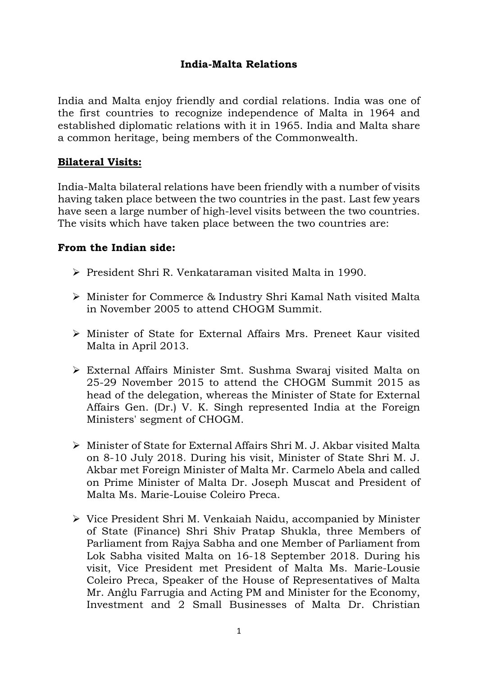## India-Malta Relations

India and Malta enjoy friendly and cordial relations. India was one of the first countries to recognize independence of Malta in 1964 and established diplomatic relations with it in 1965. India and Malta share a common heritage, being members of the Commonwealth.

### Bilateral Visits:

India-Malta bilateral relations have been friendly with a number of visits having taken place between the two countries in the past. Last few years have seen a large number of high-level visits between the two countries. The visits which have taken place between the two countries are:

### From the Indian side:

- President Shri R. Venkataraman visited Malta in 1990.
- Minister for Commerce & Industry Shri Kamal Nath visited Malta in November 2005 to attend CHOGM Summit.
- Minister of State for External Affairs Mrs. Preneet Kaur visited Malta in April 2013.
- External Affairs Minister Smt. Sushma Swaraj visited Malta on 25-29 November 2015 to attend the CHOGM Summit 2015 as head of the delegation, whereas the Minister of State for External Affairs Gen. (Dr.) V. K. Singh represented India at the Foreign Ministers' segment of CHOGM.
- $\triangleright$  Minister of State for External Affairs Shri M. J. Akbar visited Malta on 8-10 July 2018. During his visit, Minister of State Shri M. J. Akbar met Foreign Minister of Malta Mr. Carmelo Abela and called on Prime Minister of Malta Dr. Joseph Muscat and President of Malta Ms. Marie-Louise Coleiro Preca.
- Vice President Shri M. Venkaiah Naidu, accompanied by Minister of State (Finance) Shri Shiv Pratap Shukla, three Members of Parliament from Rajya Sabha and one Member of Parliament from Lok Sabha visited Malta on 16-18 September 2018. During his visit, Vice President met President of Malta Ms. Marie-Lousie Coleiro Preca, Speaker of the House of Representatives of Malta Mr. Anġlu Farrugia and Acting PM and Minister for the Economy, Investment and 2 Small Businesses of Malta Dr. Christian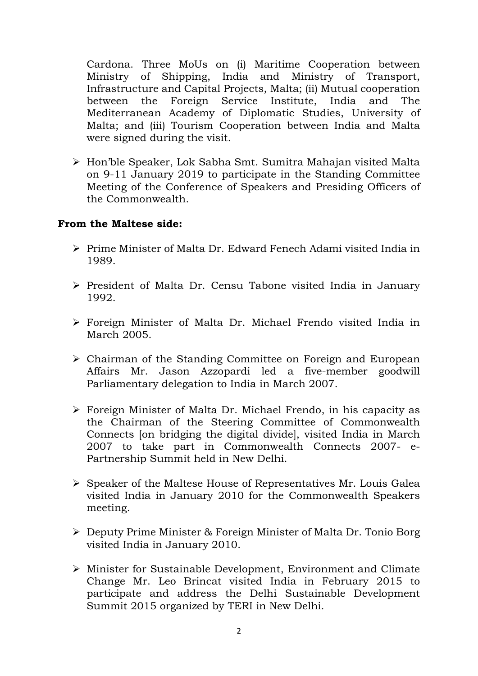Cardona. Three MoUs on (i) Maritime Cooperation between Ministry of Shipping, India and Ministry of Transport, Infrastructure and Capital Projects, Malta; (ii) Mutual cooperation between the Foreign Service Institute, India and The Mediterranean Academy of Diplomatic Studies, University of Malta; and (iii) Tourism Cooperation between India and Malta were signed during the visit.

 Hon'ble Speaker, Lok Sabha Smt. Sumitra Mahajan visited Malta on 9-11 January 2019 to participate in the Standing Committee Meeting of the Conference of Speakers and Presiding Officers of the Commonwealth.

### From the Maltese side:

- Prime Minister of Malta Dr. Edward Fenech Adami visited India in 1989.
- $\triangleright$  President of Malta Dr. Censu Tabone visited India in January 1992.
- Foreign Minister of Malta Dr. Michael Frendo visited India in March 2005.
- Chairman of the Standing Committee on Foreign and European Affairs Mr. Jason Azzopardi led a five-member goodwill Parliamentary delegation to India in March 2007.
- Foreign Minister of Malta Dr. Michael Frendo, in his capacity as the Chairman of the Steering Committee of Commonwealth Connects [on bridging the digital divide], visited India in March 2007 to take part in Commonwealth Connects 2007- e-Partnership Summit held in New Delhi.
- Speaker of the Maltese House of Representatives Mr. Louis Galea visited India in January 2010 for the Commonwealth Speakers meeting.
- Deputy Prime Minister & Foreign Minister of Malta Dr. Tonio Borg visited India in January 2010.
- Minister for Sustainable Development, Environment and Climate Change Mr. Leo Brincat visited India in February 2015 to participate and address the Delhi Sustainable Development Summit 2015 organized by TERI in New Delhi.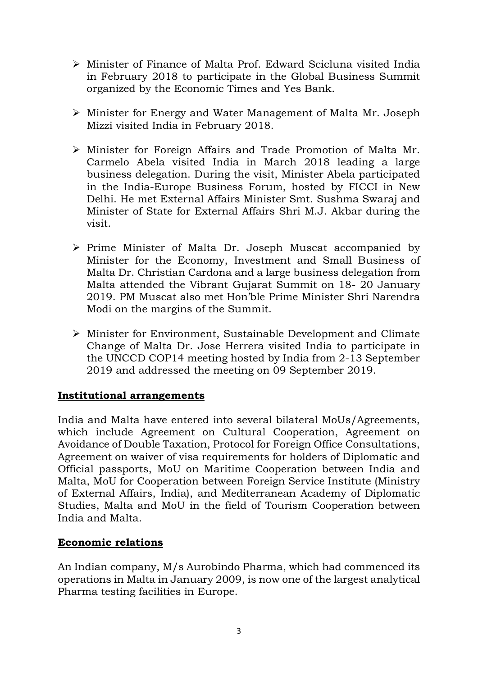- Minister of Finance of Malta Prof. Edward Scicluna visited India in February 2018 to participate in the Global Business Summit organized by the Economic Times and Yes Bank.
- Minister for Energy and Water Management of Malta Mr. Joseph Mizzi visited India in February 2018.
- Minister for Foreign Affairs and Trade Promotion of Malta Mr. Carmelo Abela visited India in March 2018 leading a large business delegation. During the visit, Minister Abela participated in the India-Europe Business Forum, hosted by FICCI in New Delhi. He met External Affairs Minister Smt. Sushma Swaraj and Minister of State for External Affairs Shri M.J. Akbar during the visit.
- $\triangleright$  Prime Minister of Malta Dr. Joseph Muscat accompanied by Minister for the Economy, Investment and Small Business of Malta Dr. Christian Cardona and a large business delegation from Malta attended the Vibrant Gujarat Summit on 18- 20 January 2019. PM Muscat also met Hon'ble Prime Minister Shri Narendra Modi on the margins of the Summit.
- Minister for Environment, Sustainable Development and Climate Change of Malta Dr. Jose Herrera visited India to participate in the UNCCD COP14 meeting hosted by India from 2-13 September 2019 and addressed the meeting on 09 September 2019.

## Institutional arrangements

India and Malta have entered into several bilateral MoUs/Agreements, which include Agreement on Cultural Cooperation, Agreement on Avoidance of Double Taxation, Protocol for Foreign Office Consultations, Agreement on waiver of visa requirements for holders of Diplomatic and Official passports, MoU on Maritime Cooperation between India and Malta, MoU for Cooperation between Foreign Service Institute (Ministry of External Affairs, India), and Mediterranean Academy of Diplomatic Studies, Malta and MoU in the field of Tourism Cooperation between India and Malta.

#### Economic relations

An Indian company, M/s Aurobindo Pharma, which had commenced its operations in Malta in January 2009, is now one of the largest analytical Pharma testing facilities in Europe.